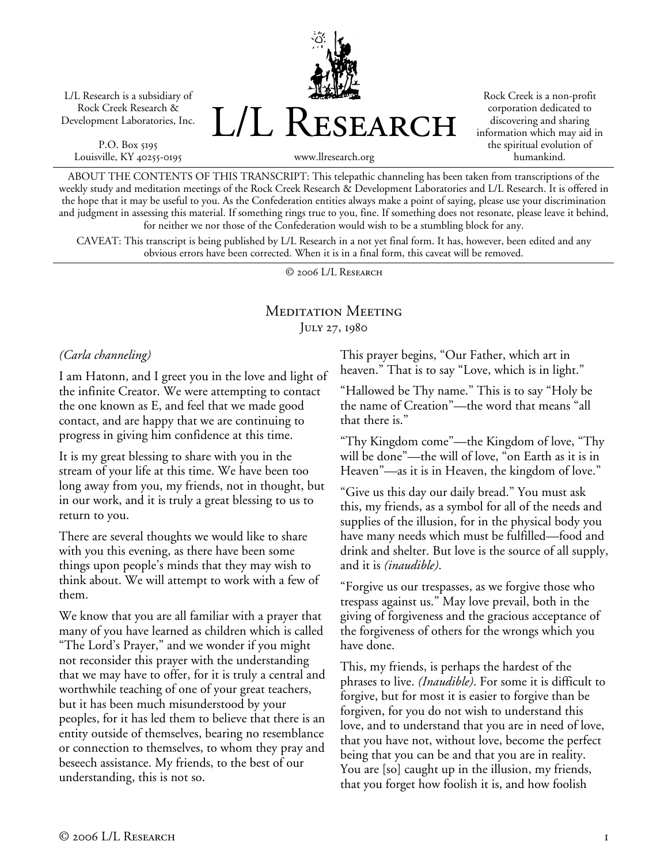L/L Research is a subsidiary of Rock Creek Research & Development Laboratories, Inc.

P.O. Box 5195 Louisville, KY 40255-0195 L/L Research

Rock Creek is a non-profit corporation dedicated to discovering and sharing information which may aid in the spiritual evolution of humankind.

www.llresearch.org

ABOUT THE CONTENTS OF THIS TRANSCRIPT: This telepathic channeling has been taken from transcriptions of the weekly study and meditation meetings of the Rock Creek Research & Development Laboratories and L/L Research. It is offered in the hope that it may be useful to you. As the Confederation entities always make a point of saying, please use your discrimination and judgment in assessing this material. If something rings true to you, fine. If something does not resonate, please leave it behind, for neither we nor those of the Confederation would wish to be a stumbling block for any.

CAVEAT: This transcript is being published by L/L Research in a not yet final form. It has, however, been edited and any obvious errors have been corrected. When it is in a final form, this caveat will be removed.

© 2006 L/L Research

## Meditation Meeting JULY 27, 1980

#### *(Carla channeling)*

I am Hatonn, and I greet you in the love and light of the infinite Creator. We were attempting to contact the one known as E, and feel that we made good contact, and are happy that we are continuing to progress in giving him confidence at this time.

It is my great blessing to share with you in the stream of your life at this time. We have been too long away from you, my friends, not in thought, but in our work, and it is truly a great blessing to us to return to you.

There are several thoughts we would like to share with you this evening, as there have been some things upon people's minds that they may wish to think about. We will attempt to work with a few of them.

We know that you are all familiar with a prayer that many of you have learned as children which is called "The Lord's Prayer," and we wonder if you might not reconsider this prayer with the understanding that we may have to offer, for it is truly a central and worthwhile teaching of one of your great teachers, but it has been much misunderstood by your peoples, for it has led them to believe that there is an entity outside of themselves, bearing no resemblance or connection to themselves, to whom they pray and beseech assistance. My friends, to the best of our understanding, this is not so.

This prayer begins, "Our Father, which art in heaven." That is to say "Love, which is in light."

"Hallowed be Thy name." This is to say "Holy be the name of Creation"—the word that means "all that there is."

"Thy Kingdom come"—the Kingdom of love, "Thy will be done"—the will of love, "on Earth as it is in Heaven"—as it is in Heaven, the kingdom of love."

"Give us this day our daily bread." You must ask this, my friends, as a symbol for all of the needs and supplies of the illusion, for in the physical body you have many needs which must be fulfilled—food and drink and shelter. But love is the source of all supply, and it is *(inaudible)*.

"Forgive us our trespasses, as we forgive those who trespass against us." May love prevail, both in the giving of forgiveness and the gracious acceptance of the forgiveness of others for the wrongs which you have done.

This, my friends, is perhaps the hardest of the phrases to live. *(Inaudible)*. For some it is difficult to forgive, but for most it is easier to forgive than be forgiven, for you do not wish to understand this love, and to understand that you are in need of love, that you have not, without love, become the perfect being that you can be and that you are in reality. You are [so] caught up in the illusion, my friends, that you forget how foolish it is, and how foolish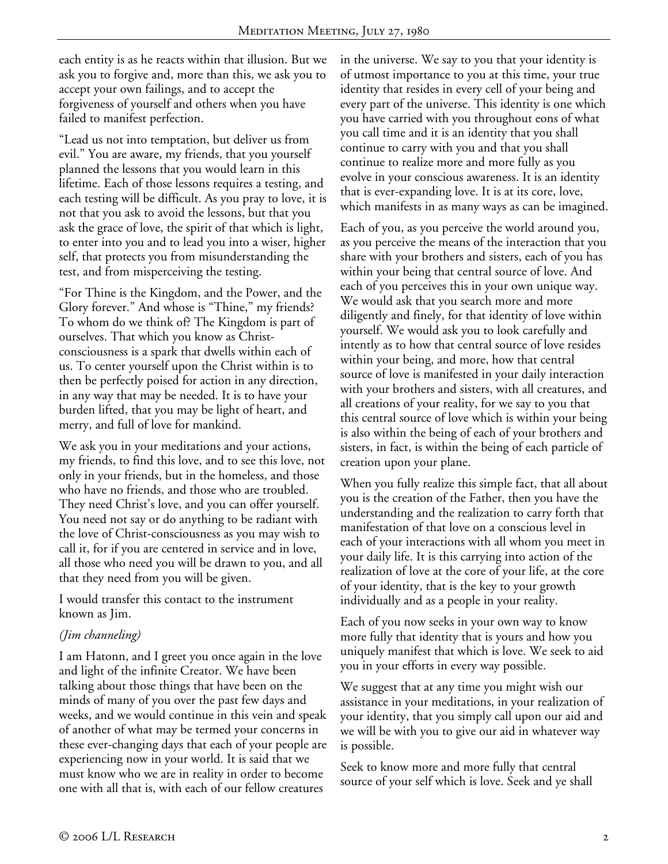each entity is as he reacts within that illusion. But we ask you to forgive and, more than this, we ask you to accept your own failings, and to accept the forgiveness of yourself and others when you have failed to manifest perfection.

"Lead us not into temptation, but deliver us from evil." You are aware, my friends, that you yourself planned the lessons that you would learn in this lifetime. Each of those lessons requires a testing, and each testing will be difficult. As you pray to love, it is not that you ask to avoid the lessons, but that you ask the grace of love, the spirit of that which is light, to enter into you and to lead you into a wiser, higher self, that protects you from misunderstanding the test, and from misperceiving the testing.

"For Thine is the Kingdom, and the Power, and the Glory forever." And whose is "Thine," my friends? To whom do we think of? The Kingdom is part of ourselves. That which you know as Christconsciousness is a spark that dwells within each of us. To center yourself upon the Christ within is to then be perfectly poised for action in any direction, in any way that may be needed. It is to have your burden lifted, that you may be light of heart, and merry, and full of love for mankind.

We ask you in your meditations and your actions, my friends, to find this love, and to see this love, not only in your friends, but in the homeless, and those who have no friends, and those who are troubled. They need Christ's love, and you can offer yourself. You need not say or do anything to be radiant with the love of Christ-consciousness as you may wish to call it, for if you are centered in service and in love, all those who need you will be drawn to you, and all that they need from you will be given.

I would transfer this contact to the instrument known as Jim.

#### *(Jim channeling)*

I am Hatonn, and I greet you once again in the love and light of the infinite Creator. We have been talking about those things that have been on the minds of many of you over the past few days and weeks, and we would continue in this vein and speak of another of what may be termed your concerns in these ever-changing days that each of your people are experiencing now in your world. It is said that we must know who we are in reality in order to become one with all that is, with each of our fellow creatures

in the universe. We say to you that your identity is of utmost importance to you at this time, your true identity that resides in every cell of your being and every part of the universe. This identity is one which you have carried with you throughout eons of what you call time and it is an identity that you shall continue to carry with you and that you shall continue to realize more and more fully as you evolve in your conscious awareness. It is an identity that is ever-expanding love. It is at its core, love, which manifests in as many ways as can be imagined.

Each of you, as you perceive the world around you, as you perceive the means of the interaction that you share with your brothers and sisters, each of you has within your being that central source of love. And each of you perceives this in your own unique way. We would ask that you search more and more diligently and finely, for that identity of love within yourself. We would ask you to look carefully and intently as to how that central source of love resides within your being, and more, how that central source of love is manifested in your daily interaction with your brothers and sisters, with all creatures, and all creations of your reality, for we say to you that this central source of love which is within your being is also within the being of each of your brothers and sisters, in fact, is within the being of each particle of creation upon your plane.

When you fully realize this simple fact, that all about you is the creation of the Father, then you have the understanding and the realization to carry forth that manifestation of that love on a conscious level in each of your interactions with all whom you meet in your daily life. It is this carrying into action of the realization of love at the core of your life, at the core of your identity, that is the key to your growth individually and as a people in your reality.

Each of you now seeks in your own way to know more fully that identity that is yours and how you uniquely manifest that which is love. We seek to aid you in your efforts in every way possible.

We suggest that at any time you might wish our assistance in your meditations, in your realization of your identity, that you simply call upon our aid and we will be with you to give our aid in whatever way is possible.

Seek to know more and more fully that central source of your self which is love. Seek and ye shall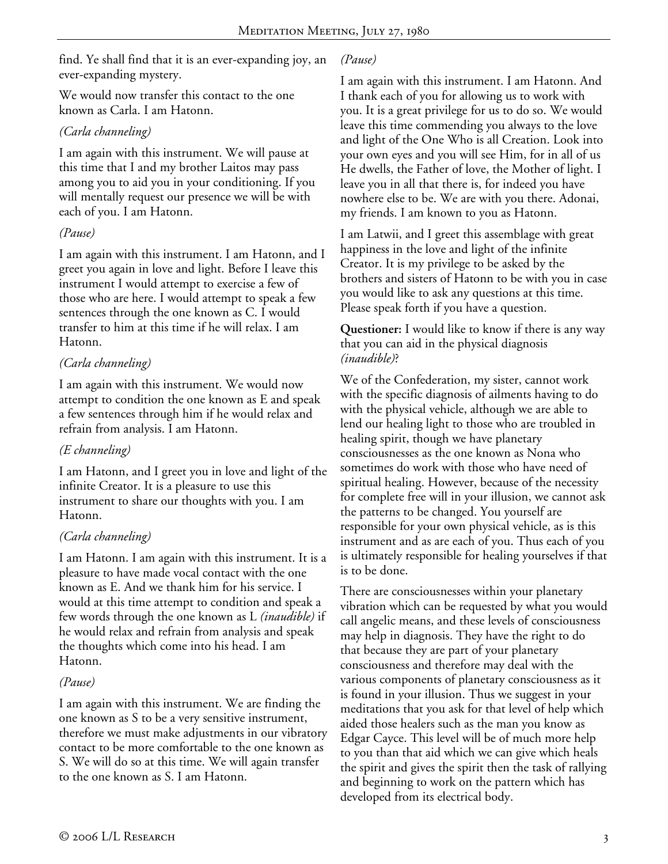find. Ye shall find that it is an ever-expanding joy, an ever-expanding mystery.

We would now transfer this contact to the one known as Carla. I am Hatonn.

### *(Carla channeling)*

I am again with this instrument. We will pause at this time that I and my brother Laitos may pass among you to aid you in your conditioning. If you will mentally request our presence we will be with each of you. I am Hatonn.

### *(Pause)*

I am again with this instrument. I am Hatonn, and I greet you again in love and light. Before I leave this instrument I would attempt to exercise a few of those who are here. I would attempt to speak a few sentences through the one known as C. I would transfer to him at this time if he will relax. I am Hatonn.

## *(Carla channeling)*

I am again with this instrument. We would now attempt to condition the one known as E and speak a few sentences through him if he would relax and refrain from analysis. I am Hatonn.

## *(E channeling)*

I am Hatonn, and I greet you in love and light of the infinite Creator. It is a pleasure to use this instrument to share our thoughts with you. I am Hatonn.

## *(Carla channeling)*

I am Hatonn. I am again with this instrument. It is a pleasure to have made vocal contact with the one known as E. And we thank him for his service. I would at this time attempt to condition and speak a few words through the one known as L *(inaudible)* if he would relax and refrain from analysis and speak the thoughts which come into his head. I am Hatonn.

#### *(Pause)*

I am again with this instrument. We are finding the one known as S to be a very sensitive instrument, therefore we must make adjustments in our vibratory contact to be more comfortable to the one known as S. We will do so at this time. We will again transfer to the one known as S. I am Hatonn.

#### *(Pause)*

I am again with this instrument. I am Hatonn. And I thank each of you for allowing us to work with you. It is a great privilege for us to do so. We would leave this time commending you always to the love and light of the One Who is all Creation. Look into your own eyes and you will see Him, for in all of us He dwells, the Father of love, the Mother of light. I leave you in all that there is, for indeed you have nowhere else to be. We are with you there. Adonai, my friends. I am known to you as Hatonn.

I am Latwii, and I greet this assemblage with great happiness in the love and light of the infinite Creator. It is my privilege to be asked by the brothers and sisters of Hatonn to be with you in case you would like to ask any questions at this time. Please speak forth if you have a question.

**Questioner:** I would like to know if there is any way that you can aid in the physical diagnosis *(inaudible)*?

We of the Confederation, my sister, cannot work with the specific diagnosis of ailments having to do with the physical vehicle, although we are able to lend our healing light to those who are troubled in healing spirit, though we have planetary consciousnesses as the one known as Nona who sometimes do work with those who have need of spiritual healing. However, because of the necessity for complete free will in your illusion, we cannot ask the patterns to be changed. You yourself are responsible for your own physical vehicle, as is this instrument and as are each of you. Thus each of you is ultimately responsible for healing yourselves if that is to be done.

There are consciousnesses within your planetary vibration which can be requested by what you would call angelic means, and these levels of consciousness may help in diagnosis. They have the right to do that because they are part of your planetary consciousness and therefore may deal with the various components of planetary consciousness as it is found in your illusion. Thus we suggest in your meditations that you ask for that level of help which aided those healers such as the man you know as Edgar Cayce. This level will be of much more help to you than that aid which we can give which heals the spirit and gives the spirit then the task of rallying and beginning to work on the pattern which has developed from its electrical body.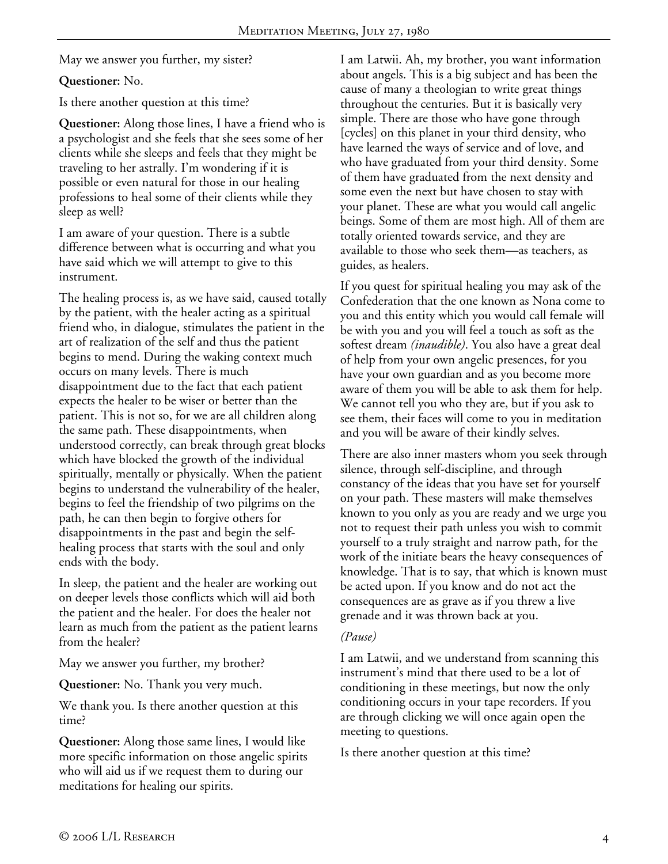May we answer you further, my sister?

#### **Questioner:** No.

Is there another question at this time?

**Questioner:** Along those lines, I have a friend who is a psychologist and she feels that she sees some of her clients while she sleeps and feels that they might be traveling to her astrally. I'm wondering if it is possible or even natural for those in our healing professions to heal some of their clients while they sleep as well?

I am aware of your question. There is a subtle difference between what is occurring and what you have said which we will attempt to give to this instrument.

The healing process is, as we have said, caused totally by the patient, with the healer acting as a spiritual friend who, in dialogue, stimulates the patient in the art of realization of the self and thus the patient begins to mend. During the waking context much occurs on many levels. There is much disappointment due to the fact that each patient expects the healer to be wiser or better than the patient. This is not so, for we are all children along the same path. These disappointments, when understood correctly, can break through great blocks which have blocked the growth of the individual spiritually, mentally or physically. When the patient begins to understand the vulnerability of the healer, begins to feel the friendship of two pilgrims on the path, he can then begin to forgive others for disappointments in the past and begin the selfhealing process that starts with the soul and only ends with the body.

In sleep, the patient and the healer are working out on deeper levels those conflicts which will aid both the patient and the healer. For does the healer not learn as much from the patient as the patient learns from the healer?

May we answer you further, my brother?

**Questioner:** No. Thank you very much.

We thank you. Is there another question at this time?

**Questioner:** Along those same lines, I would like more specific information on those angelic spirits who will aid us if we request them to during our meditations for healing our spirits.

I am Latwii. Ah, my brother, you want information about angels. This is a big subject and has been the cause of many a theologian to write great things throughout the centuries. But it is basically very simple. There are those who have gone through [cycles] on this planet in your third density, who have learned the ways of service and of love, and who have graduated from your third density. Some of them have graduated from the next density and some even the next but have chosen to stay with your planet. These are what you would call angelic beings. Some of them are most high. All of them are totally oriented towards service, and they are available to those who seek them—as teachers, as guides, as healers.

If you quest for spiritual healing you may ask of the Confederation that the one known as Nona come to you and this entity which you would call female will be with you and you will feel a touch as soft as the softest dream *(inaudible)*. You also have a great deal of help from your own angelic presences, for you have your own guardian and as you become more aware of them you will be able to ask them for help. We cannot tell you who they are, but if you ask to see them, their faces will come to you in meditation and you will be aware of their kindly selves.

There are also inner masters whom you seek through silence, through self-discipline, and through constancy of the ideas that you have set for yourself on your path. These masters will make themselves known to you only as you are ready and we urge you not to request their path unless you wish to commit yourself to a truly straight and narrow path, for the work of the initiate bears the heavy consequences of knowledge. That is to say, that which is known must be acted upon. If you know and do not act the consequences are as grave as if you threw a live grenade and it was thrown back at you.

#### *(Pause)*

I am Latwii, and we understand from scanning this instrument's mind that there used to be a lot of conditioning in these meetings, but now the only conditioning occurs in your tape recorders. If you are through clicking we will once again open the meeting to questions.

Is there another question at this time?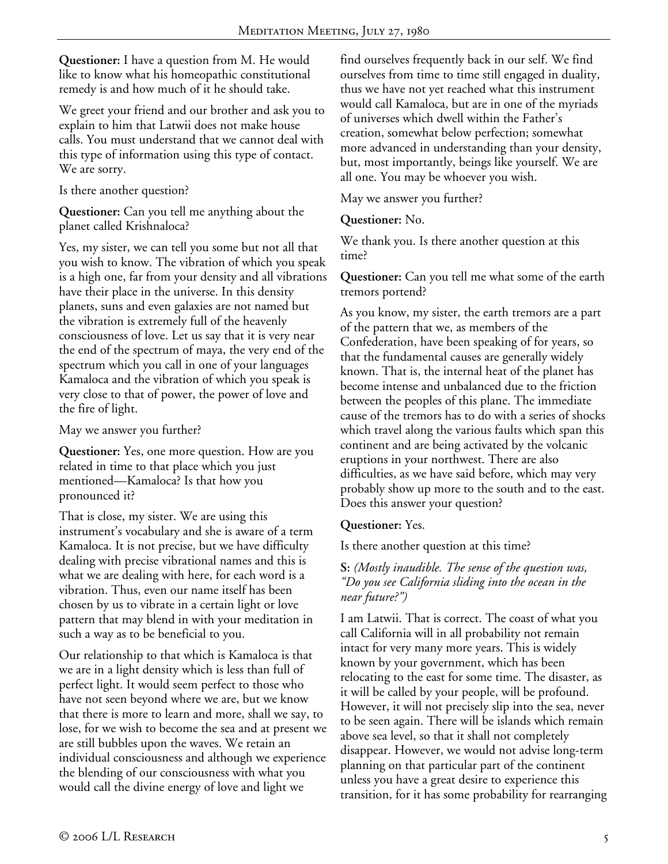**Questioner:** I have a question from M. He would like to know what his homeopathic constitutional remedy is and how much of it he should take.

We greet your friend and our brother and ask you to explain to him that Latwii does not make house calls. You must understand that we cannot deal with this type of information using this type of contact. We are sorry.

Is there another question?

**Questioner:** Can you tell me anything about the planet called Krishnaloca?

Yes, my sister, we can tell you some but not all that you wish to know. The vibration of which you speak is a high one, far from your density and all vibrations have their place in the universe. In this density planets, suns and even galaxies are not named but the vibration is extremely full of the heavenly consciousness of love. Let us say that it is very near the end of the spectrum of maya, the very end of the spectrum which you call in one of your languages Kamaloca and the vibration of which you speak is very close to that of power, the power of love and the fire of light.

May we answer you further?

**Questioner:** Yes, one more question. How are you related in time to that place which you just mentioned—Kamaloca? Is that how you pronounced it?

That is close, my sister. We are using this instrument's vocabulary and she is aware of a term Kamaloca. It is not precise, but we have difficulty dealing with precise vibrational names and this is what we are dealing with here, for each word is a vibration. Thus, even our name itself has been chosen by us to vibrate in a certain light or love pattern that may blend in with your meditation in such a way as to be beneficial to you.

Our relationship to that which is Kamaloca is that we are in a light density which is less than full of perfect light. It would seem perfect to those who have not seen beyond where we are, but we know that there is more to learn and more, shall we say, to lose, for we wish to become the sea and at present we are still bubbles upon the waves. We retain an individual consciousness and although we experience the blending of our consciousness with what you would call the divine energy of love and light we

find ourselves frequently back in our self. We find ourselves from time to time still engaged in duality, thus we have not yet reached what this instrument would call Kamaloca, but are in one of the myriads of universes which dwell within the Father's creation, somewhat below perfection; somewhat more advanced in understanding than your density, but, most importantly, beings like yourself. We are all one. You may be whoever you wish.

May we answer you further?

**Questioner:** No.

We thank you. Is there another question at this time?

**Questioner:** Can you tell me what some of the earth tremors portend?

As you know, my sister, the earth tremors are a part of the pattern that we, as members of the Confederation, have been speaking of for years, so that the fundamental causes are generally widely known. That is, the internal heat of the planet has become intense and unbalanced due to the friction between the peoples of this plane. The immediate cause of the tremors has to do with a series of shocks which travel along the various faults which span this continent and are being activated by the volcanic eruptions in your northwest. There are also difficulties, as we have said before, which may very probably show up more to the south and to the east. Does this answer your question?

#### **Questioner:** Yes.

Is there another question at this time?

#### **S:** *(Mostly inaudible. The sense of the question was, "Do you see California sliding into the ocean in the near future?")*

I am Latwii. That is correct. The coast of what you call California will in all probability not remain intact for very many more years. This is widely known by your government, which has been relocating to the east for some time. The disaster, as it will be called by your people, will be profound. However, it will not precisely slip into the sea, never to be seen again. There will be islands which remain above sea level, so that it shall not completely disappear. However, we would not advise long-term planning on that particular part of the continent unless you have a great desire to experience this transition, for it has some probability for rearranging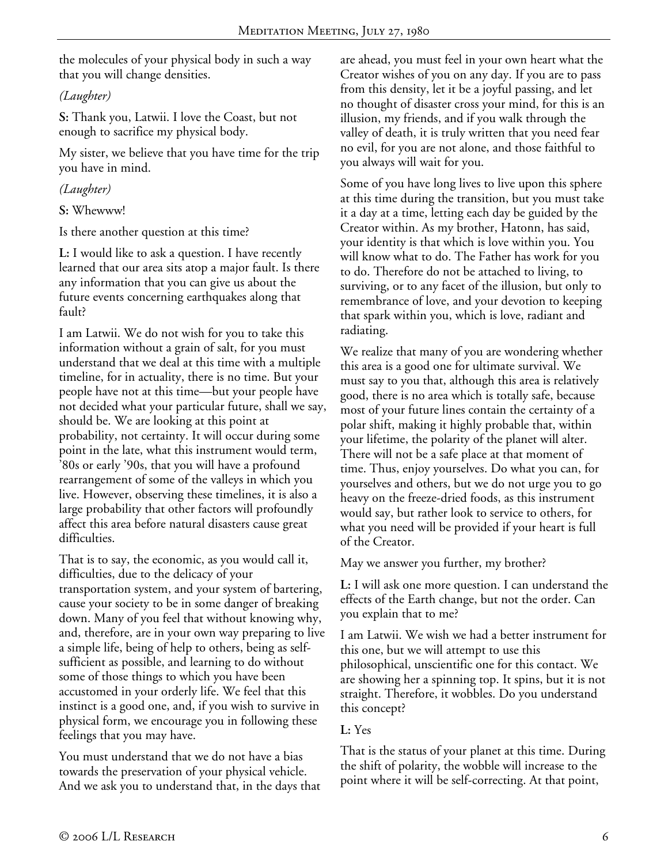the molecules of your physical body in such a way that you will change densities.

*(Laughter)* 

**S:** Thank you, Latwii. I love the Coast, but not enough to sacrifice my physical body.

My sister, we believe that you have time for the trip you have in mind.

*(Laughter)* 

**S:** Whewww!

Is there another question at this time?

**L:** I would like to ask a question. I have recently learned that our area sits atop a major fault. Is there any information that you can give us about the future events concerning earthquakes along that fault?

I am Latwii. We do not wish for you to take this information without a grain of salt, for you must understand that we deal at this time with a multiple timeline, for in actuality, there is no time. But your people have not at this time—but your people have not decided what your particular future, shall we say, should be. We are looking at this point at probability, not certainty. It will occur during some point in the late, what this instrument would term, '80s or early '90s, that you will have a profound rearrangement of some of the valleys in which you live. However, observing these timelines, it is also a large probability that other factors will profoundly affect this area before natural disasters cause great difficulties.

That is to say, the economic, as you would call it, difficulties, due to the delicacy of your transportation system, and your system of bartering, cause your society to be in some danger of breaking down. Many of you feel that without knowing why, and, therefore, are in your own way preparing to live a simple life, being of help to others, being as selfsufficient as possible, and learning to do without some of those things to which you have been accustomed in your orderly life. We feel that this instinct is a good one, and, if you wish to survive in physical form, we encourage you in following these feelings that you may have.

You must understand that we do not have a bias towards the preservation of your physical vehicle. And we ask you to understand that, in the days that are ahead, you must feel in your own heart what the Creator wishes of you on any day. If you are to pass from this density, let it be a joyful passing, and let no thought of disaster cross your mind, for this is an illusion, my friends, and if you walk through the valley of death, it is truly written that you need fear no evil, for you are not alone, and those faithful to you always will wait for you.

Some of you have long lives to live upon this sphere at this time during the transition, but you must take it a day at a time, letting each day be guided by the Creator within. As my brother, Hatonn, has said, your identity is that which is love within you. You will know what to do. The Father has work for you to do. Therefore do not be attached to living, to surviving, or to any facet of the illusion, but only to remembrance of love, and your devotion to keeping that spark within you, which is love, radiant and radiating.

We realize that many of you are wondering whether this area is a good one for ultimate survival. We must say to you that, although this area is relatively good, there is no area which is totally safe, because most of your future lines contain the certainty of a polar shift, making it highly probable that, within your lifetime, the polarity of the planet will alter. There will not be a safe place at that moment of time. Thus, enjoy yourselves. Do what you can, for yourselves and others, but we do not urge you to go heavy on the freeze-dried foods, as this instrument would say, but rather look to service to others, for what you need will be provided if your heart is full of the Creator.

May we answer you further, my brother?

**L:** I will ask one more question. I can understand the effects of the Earth change, but not the order. Can you explain that to me?

I am Latwii. We wish we had a better instrument for this one, but we will attempt to use this philosophical, unscientific one for this contact. We are showing her a spinning top. It spins, but it is not straight. Therefore, it wobbles. Do you understand this concept?

## **L:** Yes

That is the status of your planet at this time. During the shift of polarity, the wobble will increase to the point where it will be self-correcting. At that point,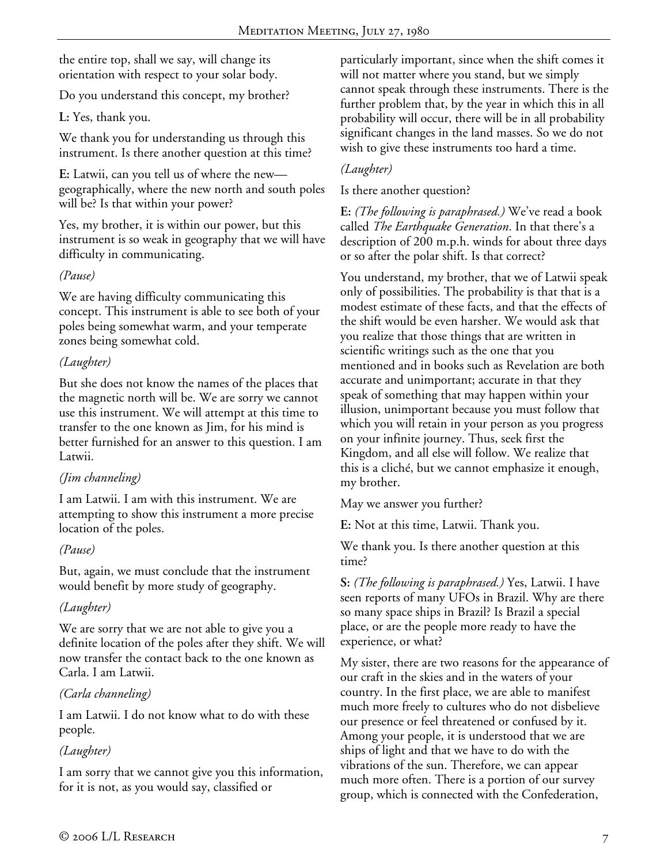the entire top, shall we say, will change its orientation with respect to your solar body.

Do you understand this concept, my brother?

**L:** Yes, thank you.

We thank you for understanding us through this instrument. Is there another question at this time?

**E:** Latwii, can you tell us of where the new geographically, where the new north and south poles will be? Is that within your power?

Yes, my brother, it is within our power, but this instrument is so weak in geography that we will have difficulty in communicating.

## *(Pause)*

We are having difficulty communicating this concept. This instrument is able to see both of your poles being somewhat warm, and your temperate zones being somewhat cold.

# *(Laughter)*

But she does not know the names of the places that the magnetic north will be. We are sorry we cannot use this instrument. We will attempt at this time to transfer to the one known as Jim, for his mind is better furnished for an answer to this question. I am Latwii.

# *(Jim channeling)*

I am Latwii. I am with this instrument. We are attempting to show this instrument a more precise location of the poles.

## *(Pause)*

But, again, we must conclude that the instrument would benefit by more study of geography.

# *(Laughter)*

We are sorry that we are not able to give you a definite location of the poles after they shift. We will now transfer the contact back to the one known as Carla. I am Latwii.

# *(Carla channeling)*

I am Latwii. I do not know what to do with these people.

# *(Laughter)*

I am sorry that we cannot give you this information, for it is not, as you would say, classified or

particularly important, since when the shift comes it will not matter where you stand, but we simply cannot speak through these instruments. There is the further problem that, by the year in which this in all probability will occur, there will be in all probability significant changes in the land masses. So we do not wish to give these instruments too hard a time.

# *(Laughter)*

Is there another question?

**E:** *(The following is paraphrased.)* We've read a book called *The Earthquake Generation*. In that there's a description of 200 m.p.h. winds for about three days or so after the polar shift. Is that correct?

You understand, my brother, that we of Latwii speak only of possibilities. The probability is that that is a modest estimate of these facts, and that the effects of the shift would be even harsher. We would ask that you realize that those things that are written in scientific writings such as the one that you mentioned and in books such as Revelation are both accurate and unimportant; accurate in that they speak of something that may happen within your illusion, unimportant because you must follow that which you will retain in your person as you progress on your infinite journey. Thus, seek first the Kingdom, and all else will follow. We realize that this is a cliché, but we cannot emphasize it enough, my brother.

May we answer you further?

**E:** Not at this time, Latwii. Thank you.

We thank you. Is there another question at this time?

**S:** *(The following is paraphrased.)* Yes, Latwii. I have seen reports of many UFOs in Brazil. Why are there so many space ships in Brazil? Is Brazil a special place, or are the people more ready to have the experience, or what?

My sister, there are two reasons for the appearance of our craft in the skies and in the waters of your country. In the first place, we are able to manifest much more freely to cultures who do not disbelieve our presence or feel threatened or confused by it. Among your people, it is understood that we are ships of light and that we have to do with the vibrations of the sun. Therefore, we can appear much more often. There is a portion of our survey group, which is connected with the Confederation,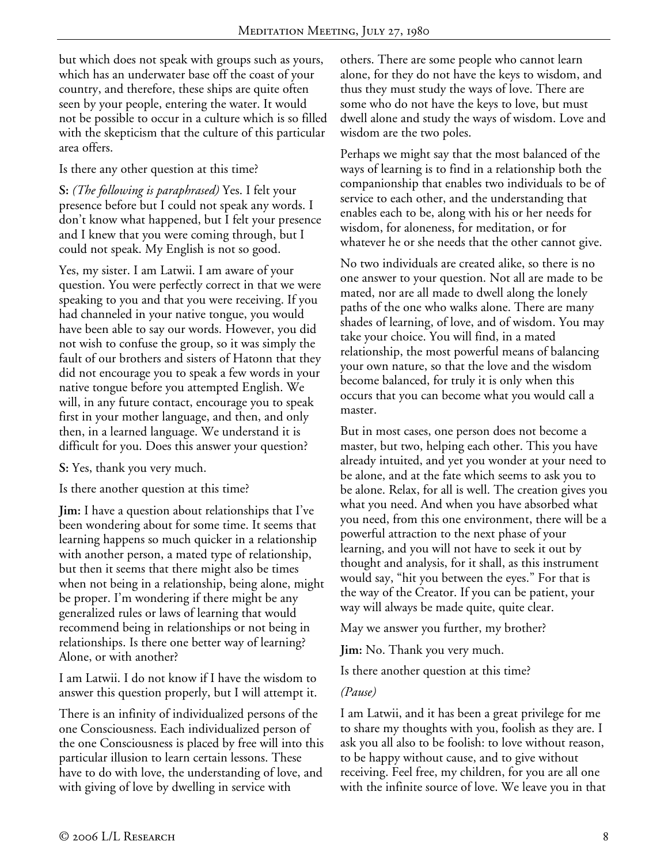but which does not speak with groups such as yours, which has an underwater base off the coast of your country, and therefore, these ships are quite often seen by your people, entering the water. It would not be possible to occur in a culture which is so filled with the skepticism that the culture of this particular area offers.

Is there any other question at this time?

**S:** *(The following is paraphrased)* Yes. I felt your presence before but I could not speak any words. I don't know what happened, but I felt your presence and I knew that you were coming through, but I could not speak. My English is not so good.

Yes, my sister. I am Latwii. I am aware of your question. You were perfectly correct in that we were speaking to you and that you were receiving. If you had channeled in your native tongue, you would have been able to say our words. However, you did not wish to confuse the group, so it was simply the fault of our brothers and sisters of Hatonn that they did not encourage you to speak a few words in your native tongue before you attempted English. We will, in any future contact, encourage you to speak first in your mother language, and then, and only then, in a learned language. We understand it is difficult for you. Does this answer your question?

**S:** Yes, thank you very much.

Is there another question at this time?

**Jim:** I have a question about relationships that I've been wondering about for some time. It seems that learning happens so much quicker in a relationship with another person, a mated type of relationship, but then it seems that there might also be times when not being in a relationship, being alone, might be proper. I'm wondering if there might be any generalized rules or laws of learning that would recommend being in relationships or not being in relationships. Is there one better way of learning? Alone, or with another?

I am Latwii. I do not know if I have the wisdom to answer this question properly, but I will attempt it.

There is an infinity of individualized persons of the one Consciousness. Each individualized person of the one Consciousness is placed by free will into this particular illusion to learn certain lessons. These have to do with love, the understanding of love, and with giving of love by dwelling in service with

others. There are some people who cannot learn alone, for they do not have the keys to wisdom, and thus they must study the ways of love. There are some who do not have the keys to love, but must dwell alone and study the ways of wisdom. Love and wisdom are the two poles.

Perhaps we might say that the most balanced of the ways of learning is to find in a relationship both the companionship that enables two individuals to be of service to each other, and the understanding that enables each to be, along with his or her needs for wisdom, for aloneness, for meditation, or for whatever he or she needs that the other cannot give.

No two individuals are created alike, so there is no one answer to your question. Not all are made to be mated, nor are all made to dwell along the lonely paths of the one who walks alone. There are many shades of learning, of love, and of wisdom. You may take your choice. You will find, in a mated relationship, the most powerful means of balancing your own nature, so that the love and the wisdom become balanced, for truly it is only when this occurs that you can become what you would call a master.

But in most cases, one person does not become a master, but two, helping each other. This you have already intuited, and yet you wonder at your need to be alone, and at the fate which seems to ask you to be alone. Relax, for all is well. The creation gives you what you need. And when you have absorbed what you need, from this one environment, there will be a powerful attraction to the next phase of your learning, and you will not have to seek it out by thought and analysis, for it shall, as this instrument would say, "hit you between the eyes." For that is the way of the Creator. If you can be patient, your way will always be made quite, quite clear.

May we answer you further, my brother?

**Jim:** No. Thank you very much.

Is there another question at this time?

#### *(Pause)*

I am Latwii, and it has been a great privilege for me to share my thoughts with you, foolish as they are. I ask you all also to be foolish: to love without reason, to be happy without cause, and to give without receiving. Feel free, my children, for you are all one with the infinite source of love. We leave you in that